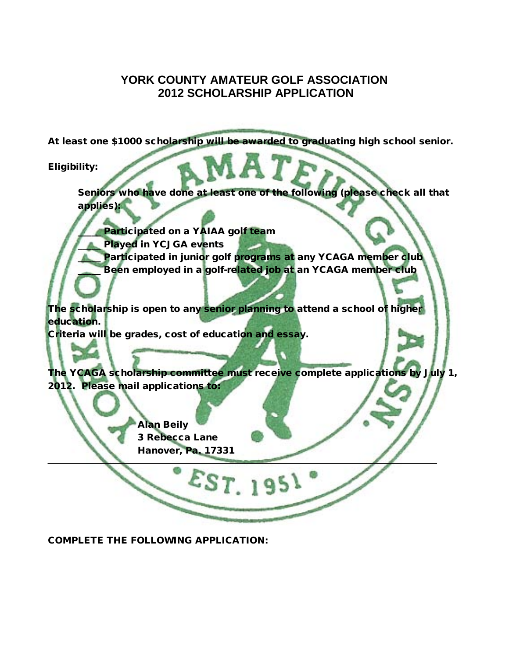## **YORK COUNTY AMATEUR GOLF ASSOCIATION 2012 SCHOLARSHIP APPLICATION**

At least one \$1000 scholarship will be awarded to graduating high school senior.

Eligibility:

Seniors who have done at least one of the following (please check all that applies):

Participated on a YAIAA golf team

Played in YCJGA events

Participated in junior golf programs at any YCAGA member club Been employed in a golf-related job at an YCAGA member club

The scholarship is open to any senior planning to attend a school of higher education.

 $\textcolor{red}{\mathcal{E}}$ ST. 195

Criteria will be grades, cost of education and essay.

The YCAGA scholarship committee must receive complete applications by July 1, 2012. Please mail applications to:

> Alan Beily 3 Rebecca Lane Hanover, Pa. 17331

COMPLETE THE FOLLOWING APPLICATION: